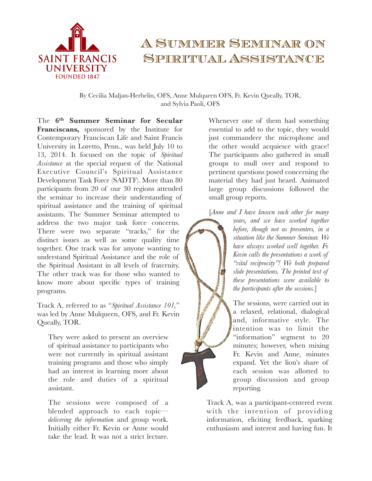

## A Summer Seminar on Spiritual Assistance

By Cecilia Maljan-Herbelin, OFS, Anne Mulqueen OFS, Fr. Kevin Queally, TOR, and Sylvia Paoli, OFS

The **6th Summer Seminar for Secular Franciscans,** sponsored by the Institute for Contemporary Franciscan Life and Saint Francis University in Loretto, Penn., was held July 10 to 13, 2014. It focused on the topic of *Spiritual Assistance* at the special request of the National Executive Council's Spiritual Assistance Development Task Force (SADTF). More than 80 participants from 20 of our 30 regions attended the seminar to increase their understanding of spiritual assistance and the training of spiritual assistants. The Summer Seminar attempted to address the two major task force concerns. There were two separate "tracks," for the distinct issues as well as some quality time together. One track was for anyone wanting to understand Spiritual Assistance and the role of the Spiritual Assistant in all levels of fraternity. The other track was for those who wanted to know more about specific types of training programs.

Track A, referred to as "*Spiritual Assistance 101,*" was led by Anne Mulqueen, OFS, and Fr. Kevin Queally, TOR.

They were asked to present an overview of spiritual assistance to participants who were not currently in spiritual assistant training programs and those who simply had an interest in learning more about the role and duties of a spiritual assistant.

The sessions were composed of a blended approach to each topic *delivering the information* and group work. Initially either Fr. Kevin or Anne would take the lead. It was not a strict lecture.

Whenever one of them had something essential to add to the topic, they would just commandeer the microphone and the other would acquiesce with grace! The participants also gathered in small groups to mull over and respond to pertinent questions posed concerning the material they had just heard. Animated large group discussions followed the small group reports.

[*Anne and I have known each other for many* 

*years, and we have worked together before, though not as presenters, in a situation like the Summer Seminar. We have always worked well together. Fr. Kevin calls the presentations a work of "vital reciprocity"! We both prepared slide presentations. The printed text of these presentations were available to the participants after the sessions.*]

The sessions, were carried out in a relaxed, relational, dialogical and, informative style. The intention was to limit the "information" segment to 20 minutes; however, when mixing Fr. Kevin and Anne, minutes expand. Yet the lion's share of each session was allotted to group discussion and group reporting.

Track A, was a participant-centered event with the intention of providing information, eliciting feedback, sparking enthusiasm and interest and having fun. It